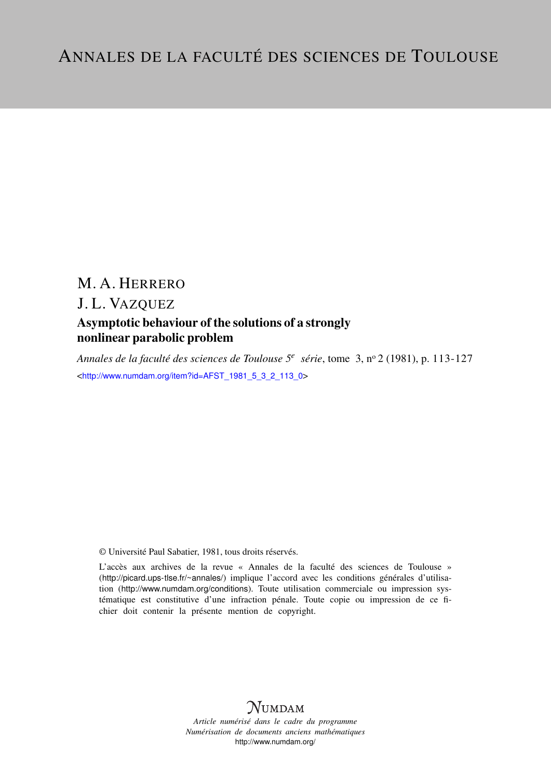# M. A. HERRERO

# J. L. VAZQUEZ

## Asymptotic behaviour of the solutions of a strongly nonlinear parabolic problem

*Annales de la faculté des sciences de Toulouse 5<sup>e</sup> série*, tome 3, n<sup>o</sup> 2 (1981), p. 113-127 <[http://www.numdam.org/item?id=AFST\\_1981\\_5\\_3\\_2\\_113\\_0](http://www.numdam.org/item?id=AFST_1981_5_3_2_113_0)>

© Université Paul Sabatier, 1981, tous droits réservés.

L'accès aux archives de la revue « Annales de la faculté des sciences de Toulouse » (<http://picard.ups-tlse.fr/~annales/>) implique l'accord avec les conditions générales d'utilisation (<http://www.numdam.org/conditions>). Toute utilisation commerciale ou impression systématique est constitutive d'une infraction pénale. Toute copie ou impression de ce fichier doit contenir la présente mention de copyright.



*Article numérisé dans le cadre du programme Numérisation de documents anciens mathématiques* <http://www.numdam.org/>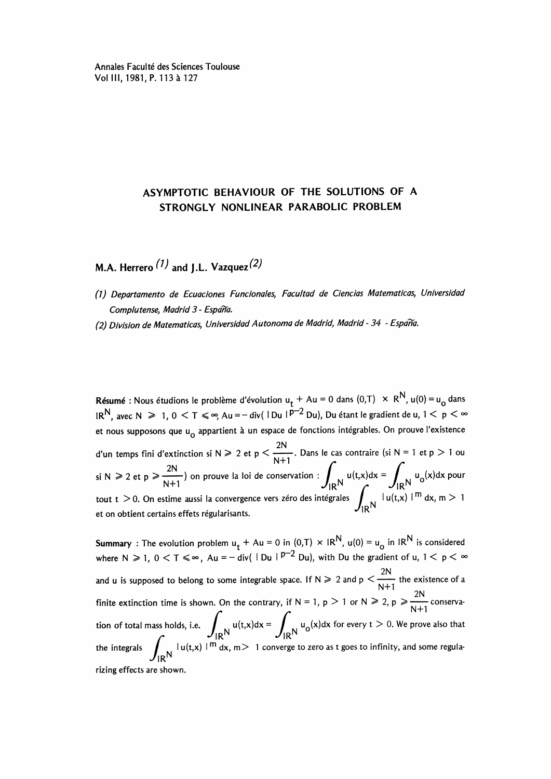Annales Faculté des Sciences Toulouse Vol III,1981, P.113 a 127

### ASYMPTOTIC BEHAVIOUR OF THE SOLUTIONS OF A STRONGLY NONLINEAR PARABOLIC PROBLEM

M.A. Herrero  $(1)$  and J.L. Vazquez $(2)$ 

- (1) Departamento de Ecuaciones Funcionales, Facultad de Ciencias Matematicas, Universidad Complutense, Madrid 3 - España.
- (2) Division de Matematicas, Universidad Autonoma de Madrid, Madrid 34 España.

**Résumé :** Nous étudions le problème d'évolution u<sub>t</sub> + Au = 0 dans (0,T)  $\times$  R<sup>N</sup>, u(0) = u<sub>0</sub> dans  $a_R = IR$ , avec N  $\geq 1$ ,  $0 \leq T \leq \infty$ , Au = - div( | Du |  $p^{-2}$  Du), Du étant le gradient de u,  $1 \leq p \leq \infty$ et nous supposons que u appartient à un espace de fonctions intégrables. On prouve l'existence d'un temps fini d'extinction si N  $\ge 2$  et p  $\lt \frac{2N}{N+1}$ . Dans le cas contraire (si N = 1 et p  $> 1$  ou si N  $\ge 2$  et  $p \ge \frac{2N}{N+1}$ ) on prouve la loi de conservation:  $\int_{\mathbb{R}^N} u(t,x)dx = \int_{\mathbb{R}^N} u_0(x)dx$  pour  $\int_{\left|u(t,x)\right|^{m}}^{\left|u\right|^{2}}$ tout t  $>$  0. On estime aussi la convergence vers zéro des intégrales  $\int_{\mathsf{IR}^{\mathsf{N}}}$  lu(t,x) l  $^{\mathsf{m}}$  dx, m  $>$  1.  $^{\mathsf{m}}$ 

**Summary**: The evolution problem  $u_t + Au = 0$  in  $(0,T) \times IR^N$ ,  $u(0) = u_0$  in  $IR^N$  is considered where  $N \ge 1$ ,  $0 < T \le \infty$ ,  $Au = -\frac{1}{4}$  and  $\left( \frac{p-2}{2}Du \right)$ , with Du the gradient of u,  $1 < p < \infty$ 2N and **u** is supposed to belong to some integrable space. If  $N \ge 2$  and  $p \le \frac{N+1}{N+1}$ finite extinction time is shown. On the contrary, if N = 1, p > 1 or N  $\geq 2$ , p  $\geq \frac{2N}{N+1}$  conservation of total mass holds, i.e.  $\int_{\mathsf{IR}^{\mathsf{N}}} \mathsf{u}(\mathsf{t},\mathsf{x}) d\mathsf{x} = \int_{\mathsf{IR}^{\mathsf{N}}} \mathsf{u}_0(\mathsf{x}) d\mathsf{x}$  for every  $\mathsf{t} > 0$ . We prove also that the integrals  $\int_{\mathsf{IR}^{\mathsf{N}}} |\mathsf{u}(\mathsf{t},\mathsf{x})|^{m} d\mathsf{x}$ ,  $m > 1$  con  $J$   $R<sup>N</sup>$ rizing effects are shown.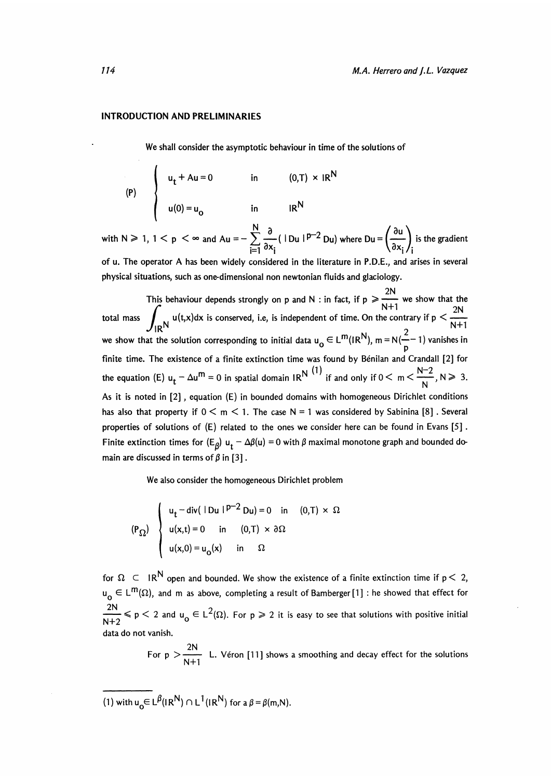#### INTRODUCTION AND PRELIMINARIES

We shall consider the asymptotic behaviour in time of the solutions of

$$
\begin{cases}\n u_t + Au = 0 & \text{in} \quad (0, T) \times IR^N \\
 u(0) = u_0 & \text{in} \quad IR^N\n\end{cases}
$$

with N  $\geq 1$ ,  $1 < p < \infty$  and Au =  $-\sum_{i=1}^{N} \frac{\partial}{\partial x_i} (|\text{Du}|^{p-2} \text{Du})$  where  $\text{Du} = \left(\frac{\partial u}{\partial x_i}\right)_i$  is the gradient

of u. The operator A has been widely considered in the literature in P.D.E., and arises in several physical situations, such as one-dimensional non newtonian fluids and glaciology.

2N This behaviour depends strongly on p and N : in fact, if  $p \ge \frac{2N}{N+1}$  we show that the This behaviour depends strongly on p and N : in fact, if  $p \ge \frac{N+1}{N+1}$  we show that the total mass  $\int_{N} u(t,x)dx$  is conserved, i.e. is independent of time. On the contrary if  $p < \frac{2N}{N+1}$ we show that the solution corresponding to initial data  $u_0 \in L^m(R^N)$ , m = N( $\frac{2}{n}$ –1) vanishes in finite time. The existence of a finite extinction time was found by Bénilan and Crandall [2] for the equation (E)  $u_t - \Delta u^m = 0$  in spatial domain IR<sup>N</sup> if and only if  $0 < m < \frac{u^m - \Delta u}{N}$ , N  $\geq 3$ . As it is noted in [2] , equation (E) in bounded domains with homogeneous Dirichlet conditions has also that property if  $0 \le m \le 1$ . The case N = 1 was considered by Sabinina [8]. Several properties of solutions of (E) related to the ones we consider here can be found in Evans [5] . Finite extinction times for  $(E_g) u_t - \Delta \beta(u) = 0$  with  $\beta$  maximal monotone graph and bounded domain are discussed in terms of  $\beta$  in [3].

We also consider the homogeneous Dirichlet problem

$$
\begin{cases}\n\mathbf{u}_{t} - \text{div}(\ |\ \mathbf{D}\mathbf{u} \ |^{p-2} \ \mathbf{D}\mathbf{u}) = 0 & \text{in} \quad (0, T) \times \Omega \\
\mathbf{u}(\mathbf{x}, t) = 0 & \text{in} \quad (0, T) \times \partial\Omega \\
\mathbf{u}(\mathbf{x}, 0) = \mathbf{u}_{0}(\mathbf{x}) & \text{in} \quad \Omega\n\end{cases}
$$

for  $\Omega \subset \mathbb{R}^N$  open and bounded. We show the existence of a finite extinction time if  $p < 2$ ,  $u_{\alpha} \in L^{m}(\Omega)$ , and m as above, completing a result of Bamberger [1] : he showed that effect for  $\frac{2N}{N+2} \leqslant p < 2$  and  $u_0 \in L^2(\Omega)$ . For  $p \geqslant 2$  it is easy to see that solutions with positive initial data do not vanish.

For  $p > \frac{2N}{N+1}$  L. Véron [11] shows a smoothing and decay effect for the solutions

(1) with  $u_0 \in L^{\beta}(|R^N) \cap L^1(|R^N)$  for  $a \beta = \beta(m,N)$ .

'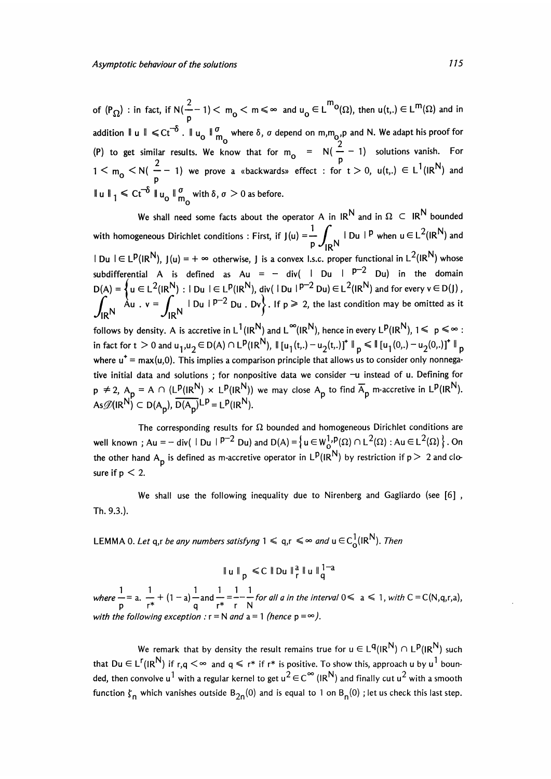of  $(P_{\Omega})$  : in fact, if  $N(\frac{2}{n}-1) < m_0 < m \le \infty$  and  $u_0 \in L^{m_0}(\Omega)$ , then  $u(t, t) \in L^{m_0}(\Omega)$  and in addition  $\|u\| \leq C t^{-\delta}$ .  $\|u_0\|_{m_{\Omega}}^{\sigma}$  where  $\delta$ ,  $\sigma$  depend on  $m,m_{\Omega}$ ,  $\rho$  and N. We adapt his proof for (P) to get similar results. We know that for  $m_0 = N(\frac{2}{p} - 1)$  solutions vanish. For  $1 \leq m_{o} \leq N(\frac{2}{n}-1)$  we prove a «backwards» effect : for  $t > 0$ ,  $u(t,.) \in L^{1}(IR^{N})$  and  $\left\| \mathbf{u} \right\|_1 \leq C t^{-\delta} \left\| \mathbf{u}_0 \right\|_{m_\alpha}^{\sigma}$  with  $\delta, \sigma > 0$  as before.

We shall need some facts about the operator A in  $IR^N$  and in  $\Omega \subset IR^N$  bounded with homogeneous Dirichlet conditions : First, if  $J(u) = \frac{1}{p} \int_{1}^{u} |Du|^{p}$  when  $u \in L^{2}(IR^{N})$  and  $t \in L^p(I/R^N)$ ,  $J(u) = +\infty$  otherwise, J is a convex I.s.c. proper functional in  $L^2(I/R^N)$  whose subdifferential A is defined as Au = - div( | Du |  $p=2$  Du) in the domain  $D(A) = \{ u \in L^2(\mathbb{R}^n) : |Du| \in L^p(\mathbb{R}^n), div(|Du|)^p \le Du) \in L^2(\mathbb{R}^n) \text{ and for every } v \in D(f) \}$  $\int_{\mathsf{IR}} \mathsf{N}$   $\mathsf{A} \mathsf{u}$  .  $\mathsf{v} = \int_{\mathsf{IR}} \mathsf{N}$   $\mathsf{I} \mathsf{D} \mathsf{u} + \mathsf{P}^{-2} \mathsf{D} \mathsf{u}$  . Dv, If  $\mathsf{p} \geq 2$ , the last condition may be omitted as it follows by density. A is accretive in  $L^1(I/R^N)$  and  $L^\infty(I/R^N)$ , hence in every  $L^p(I/R^N)$ ,  $1 \leq p \leq \infty$ : in fact for  $t > 0$  and  $u_1, u_2 \in D(A) \cap L^{\mathsf{p}}(\mathsf{IR}^{\mathsf{N}}), \parallel [u_1(\mathsf{t, .}) - u_2(\mathsf{t, .})]^{\mathsf{T}} \parallel_p \leq \parallel [u_1(0,.) - u_2(0,.)]^{\mathsf{T}} \parallel_p$ where  $u^+$  = max(u,0). This implies a comparison principle that allows us to consider only nonnegative initial data and solutions; for nonpositive data we consider -u instead of u. Defining for  $p \neq 2$ ,  $A_p = A \cap (L^p(I/R^N) \times L^p(I/R^N))$  we may close  $A_p$  to find  $\overline{A}_p$  m-accretive in  $L^p(I/R^N)$ . As  $\mathcal{D}(IR^N) \subset D(A_p)$ ,  $\overline{D(A_p)}^{LP} = L^p (IR^N)$ .

The corresponding results for  $\Omega$  bounded and homogeneous Dirichlet conditions are well known ; Au = - div(  $|Du|^{p-2}$  Du) and  $D(A) = \{ u \in W_0^1, P(\Omega) \cap L^2(\Omega) : Au \in L^2(\Omega) \}$ . On the other hand A<sub>p</sub> is defined as m-accretive operator in  $L^p(I\overline{R}^N)$  by restriction if  $p > 2$  and closure if  $p < 2$ .

We shall use the following inequality due to Nirenberg and Gagliardo (see  $[6]$ , Th. 9.3.).

LEMMA 0. Let q,r be any numbers satisfyng  $1 \le q,r \le \infty$  and  $u \in C^1(\mathbb{R}^N)$ . Then

 $1 - 1 - 1 - 1 - 1 - 1 - 1$ <br>  $-2 - 1 + (1 - 2) - 20 = -1 - 2$  for all a in the interval  $0 \le 2 \le 1$  with  $C = C(\mathbb{N} \text{ or } 2)$ where  $\frac{1}{p} = a$ .  $\frac{1}{r^*} + (1 - a) - a$  and  $\frac{1}{r^*} = \frac{1}{r} - \frac{1}{r}$  for all a in the interval  $0 \le a \le 1$ , with  $C = C(N, q, r, a)$ , with the following exception :  $r = N$  and  $a = 1$  (hence  $p = \infty$ ).

We remark that by density the result remains true for  $u \in L^q(IR^N) \cap L^p(IR^N)$  such that Du  $\in L^{r}(IR^{N})$  if r,q  $\leq \infty$  and q  $\leq r^*$  if r\* is positive. To show this, approach u by u<sup>1</sup> bounded, then convolve u<sup>1</sup> with a regular kernel to get u<sup>2</sup>  $\in$  C<sup> $\infty$ </sup> (IR<sup>N</sup>) and finally cut u<sup>2</sup> with a smooth function  $\zeta_n$  which vanishes outside B<sub>2n</sub>(0) and is equal to 1 on B<sub>n</sub>(0) ; let us check this last step.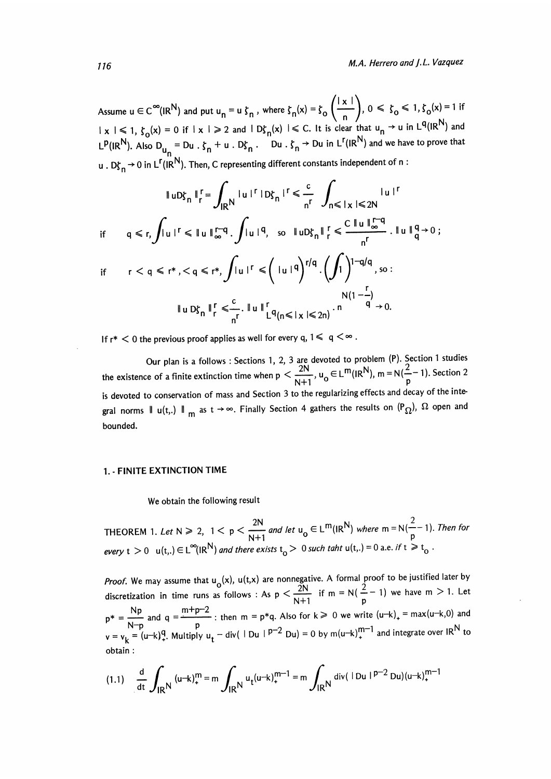Assume  $u \in C^{\infty}(IR^N)$  and put  $u_n = u \zeta_n$ , where  $\zeta_n(x) = \zeta_0\left(\frac{|x|}{n}\right)$ ,  $0 \le \zeta_0 \le 1$ ,  $\zeta_0(x) = 1$  if  $|x| \leq 1$ ,  $\zeta_0(x) = 0$  if  $|x| \geq 2$  and  $|D\zeta_n(x)| \leq C$ . It is clear that  $u_n \to u$  in  $L^q(|R^N|)$  and  $L^p(I/R^N)$ . Also  $D_{u_n} = Du \cdot \zeta_n + u \cdot D\zeta_n$ . Du  $\zeta_n \to Du$  in  $L^r(I/R^N)$  and we have to prove that u .  $D_{\mathcal{S}_n}^r \rightarrow 0$  in L<sup>r</sup>(IR<sup>N</sup>). Then, C representing different constants independent of n:

$$
\|uD\zeta_{n}\|_{r}^{r} = \int_{\mathsf{IR}} |u|^{r} |D\zeta_{n}|^{r} \leq \frac{c}{n^{r}} \int_{n \leq |x| \leq 2N} |u|^{r}
$$
\n
$$
\text{if } q \leq r, \int |u|^{r} \leq \|u\|_{\infty}^{r-q} \int |u|^{q}, \text{ so } \|uD\zeta_{n}\|_{r}^{r} \leq \frac{C \|u\|_{\infty}^{r-q}}{n^{r}} \cdot \|u\|_{q}^{q} \to 0 ;
$$
\n
$$
\text{if } r < q \leq r^{*}, < q \leq r^{*}, \int |u|^{r} \leq (\text{ln } |q|)^{r/q} \cdot \left(\int_{1}^{r} \right)^{1-q/q}, \text{ so :}
$$
\n
$$
\|uD\zeta_{n}\|_{r}^{r} \leq \frac{c}{n^{r}} \cdot \|u\|_{L^{q}(n \leq |x| \leq 2n)}^{r} \cdot \frac{N(1-\frac{r}{q})}{q} \to 0.
$$

If  $r^*$   $\leq$  0 the previous proof applies as well for every q,  $1 \leq q \leq \infty$ .

Our plan is a follows: Sections 1, 2, 3 are devoted to problem (P). Section I studies the existence of a finite extinction time when  $p < \frac{2N}{N+1}$ ,  $u_0 \in L^m(I/R^N)$ ,  $m = N(\frac{2}{p}-1)$ . Section 2 is devoted to conservation of mass and Section 3 to the regularizing effects and decay of the integral norms  $\parallel u(t,.) \parallel_m$  as  $t \to \infty$ . Finally Section 4 gathers the results on  $(P_{\Omega})$ ,  $\Omega$  open and bounded.

#### 1. - FINITE EXTINCTION TIME

We obtain the following result

THEOREM 1. Let 
$$
N \ge 2
$$
,  $1 < p < \frac{2N}{N+1}$  and let  $u_0 \in L^m(R^N)$  where  $m = N(\frac{2}{p} - 1)$ . Then for  
every  $t > 0$   $u(t,.) \in L^{\infty}(IR^N)$  and there exists  $t_0 > 0$  such that  $u(t,.) = 0$  a.e. if  $t \ge t_0$ .

*Proof.* We may assume that  $u_o(x)$ ,  $u(t,x)$  are nonnegative. A formal proof to be justified later by discretization in time runs as follows: As  $p < \frac{2N}{N+1}$  if m = N( $\frac{2}{p}$  – 1) we have m > 1. Let  $Np$  m+p-2  $p^* = \frac{Np}{N!}$  and  $q = \frac{m+p-2}{n}$ ; then  $m = p^*q$ . Also for  $k \ge 0$  we write  $(u-k)_+ = max(u-k,0)$  and  $v = v_k = (u-k)^q$ . Multiply  $u_t$  - div(  $|Du|$  p<sup>-2</sup> Du) = 0 by m(u-k)<sup>m-1</sup> and integrate over IR<sup>N</sup> to obtain :

$$
(1.1) \quad \frac{d}{dt} \int_{IR} (u-k)_+^m = m \int_{IR} u_t (u-k)_+^{m-1} = m \int_{IR} u \, \text{div}(\text{Im } \text{ln} \text{ln}^{-2} \text{Du})(u-k)_+^{m-1}
$$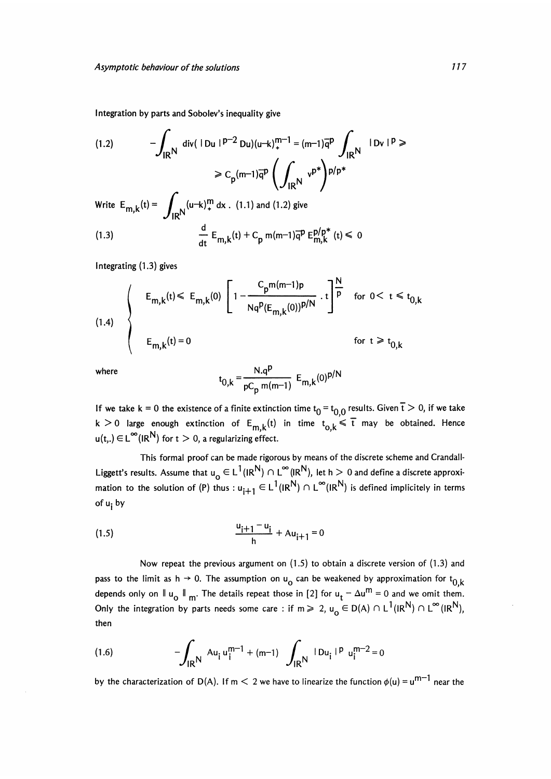Integration by parts and Sobolev's inequality give

(1.2) 
$$
-\int_{\mathsf{IR}^{\mathsf{N}}} \mathrm{div}(\mathsf{1} \mathsf{D} \mathsf{u} \mathsf{1} \mathsf{P}^{-2} \mathsf{D} \mathsf{u}) (\mathsf{u} \mathsf{u} \mathsf{b})_{+}^{\mathsf{m}-1} = (\mathsf{m} \mathsf{u} \mathsf{1}) \overline{\mathsf{q}}^{\mathsf{p}} \int_{\mathsf{IR}^{\mathsf{N}}} \mathsf{1} \mathsf{D} \mathsf{v} \mathsf{1}^{\mathsf{p}} \geq \mathsf{C}_{\mathsf{p}} (\mathsf{m} \mathsf{u} \mathsf{1}) \overline{\mathsf{q}}^{\mathsf{p}} \left( \int_{\mathsf{IR}^{\mathsf{N}}} \mathsf{v}^{\mathsf{p}} \right) \mathsf{p} / \mathsf{p}^* \leq \mathsf{F}_{\mathsf{m}, \mathsf{k}} (\mathsf{t}) = \int_{\mathsf{IR}^{\mathsf{N}}} (\mathsf{u} \mathsf{u} \mathsf{h})_{+}^{\mathsf{m}} \, \mathrm{d} \mathsf{x} \quad (1.1) \text{ and } (1.2) \text{ give}
$$
\n(1.3) 
$$
\frac{d}{dt} \, \mathsf{E}_{\mathsf{m}, \mathsf{k}} (\mathsf{t}) + \mathsf{C}_{\mathsf{p}} \, \mathsf{m} (\mathsf{m} \mathsf{1}) \overline{\mathsf{q}}^{\mathsf{p}} \, \mathsf{E}_{\mathsf{m}, \mathsf{k}}^{\mathsf{p}} (\mathsf{p}) (\mathsf{f}) \leq 0
$$

Integrating (1.3) gives

(1.4)  

$$
E_{m,k}(t) \le E_{m,k}(0) \left[ 1 - \frac{C_p m(m-1)p}{Nq^p (E_{m,k}(0))^{p/N}} \cdot t \right]^{\frac{N}{p}} \text{ for } 0 < t \le t_{0,k}
$$
  

$$
E_{m,k}(t) = 0 \text{ for } t \ge t_{0,k}
$$

where

$$
t_{0,k} = {N.q^p \over pC_p m(m-1)} E_{m,k}(0)^{p/N}
$$

If we take k = 0 the existence of a finite extinction time  $t_0 = t_{0,0}$  results. Given  $\overline{t} > 0$ , if we take  $k > 0$  large enough extinction of  $E_{m,k}(t)$  in time  $t_{o,k} \leq \overline{t}$  may be obtained. Hence  $u(t_n) \in L^{\infty}(|R^N|)$  for  $t > 0$ , a regularizing effect.

This formal proof can be made rigorous by means of the discrete scheme and Crandall-Liggett's results. Assume that  $u_0 \in L^1(IR^N) \cap L^{\infty}(IR^N)$ , let h  $> 0$  and define a discrete approximation to the solution of (P) thus :  $u_{i+1} \in L^1(\mathbb{R}^N) \cap L^{\infty}(\mathbb{R}^N)$  is defined implicitely in terms of u<sub>i</sub> by

(1.5) 
$$
\frac{u_{i+1} - u_i}{h} + Au_{i+1} = 0
$$

Now repeat the previous argument on (1.5) to obtain a discrete version of (1.3) and pass to the limit as h  $\rightarrow$  0. The assumption on  $u_0$  can be weakened by approximation for  $t_0$ <sub>k</sub> depends only on  $\|u_0\|_{m}$ . The details repeat those in [2] for  $u_t - \Delta u^m = 0$  and we omit them. Only the integration by parts needs some care : if  $m \ge 2$ ,  $u_0 \in D(A) \cap L^1(|R^N) \cap L^{\infty}(|R^N)$ , then

(1.6) 
$$
-\int_{\mathsf{IR}^{\mathsf{N}}} A u_i u_i^{m-1} + (m-1) \int_{\mathsf{IR}^{\mathsf{N}}} |D u_i|^{p} u_i^{m-2} = 0
$$

by the characterization of D(A). If m  $\leq$  2 we have to linearize the function  $\phi(u) = u^{m-1}$  near the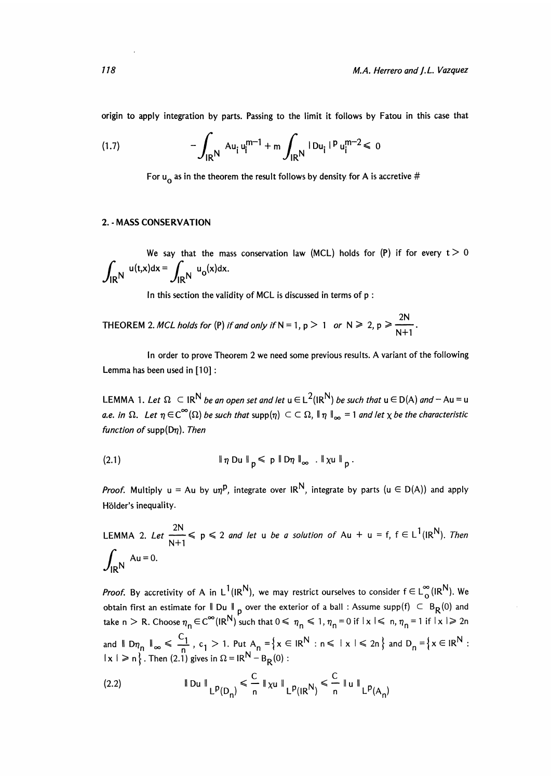origin to apply integration by parts. Passing to the limit it follows by Fatou in this case that

(1.7) 
$$
-\int_{\mathsf{IR}^{\mathsf{N}}} \mathsf{A} \mathsf{u}_{\mathsf{i}} \mathsf{u}_{\mathsf{i}}^{\mathsf{m}-1} + \mathsf{m} \int_{\mathsf{IR}^{\mathsf{N}}} |\mathsf{D} \mathsf{u}_{\mathsf{i}}|^{p} \mathsf{u}_{\mathsf{i}}^{\mathsf{m}-2} \leq 0
$$

For  $u_0$  as in the theorem the result follows by density for A is accretive #

#### 2. - MASS CONSERVATION

We say that the mass conservation law (MCL) holds for (P) if for every  $t > 0$  $\int_{\text{IPN}} u(t,x) dx = \int_{\text{IPN}} u_0(x) dx.$ 

In this section the validity of MCL is discussed in terms of p :

THEOREM 2. MCL holds for (P) if and only if N = 1, p  $> 1$  or N  $\geq 2$ , p  $\geq \frac{2N}{N+1}$ .

In order to prove Theorem 2 we need some previous results. A variant of the following Lemma has been used in [10] :

LEMMA 1. Let  $\Omega \subset \mathbb{R}^N$  be an open set and let  $u \in L^2(\mathbb{R}^N)$  be such that  $u \in D(A)$  and  $-\Delta u = u$ a.e. in  $\Omega$ . Let  $\eta \in C^{\infty}(\Omega)$  be such that supp $(\eta) \subset \Omega$ ,  $\|\eta\|_{\infty} = 1$  and let  $\chi$  be the characteristic function of supp $(D\eta)$ . Then

$$
\|\eta\,\mathrm{D} u\|_{\mathsf{p}} \leqslant \mathsf{p}\,\|\mathrm{D}\eta\,\|_{\infty}\,.\,\|\chi u\|_{\mathsf{p}}.
$$

*Proof.* Multiply  $u = Au$  by  $u\eta^p$ , integrate over  $IR^N$ , integrate by parts  $(u \in D(A))$  and apply Hölder's inequality.

LEMMA 2. Let  $\frac{2\pi}{N+1} \leq p \leq 2$  and let u be a solution of Au + u = f,  $f \in L^1(R^N)$ . Then  $\int$   $\ldots$  Au = 0.  $\mathcal{J}_{\mathsf{IR}}$ N

*Proof.* By accretivity of A in L<sup>1</sup>(IR<sup>N</sup>), we may restrict ourselves to consider  $f \in L_0^{\infty}$ (IR<sup>N</sup>). We obtain first an estimate for  $\parallel$  Du  $\parallel$  p over the exterior of a ball : Assume supp(f)  $\subset$  B<sub>R</sub>(0) and take n > R. Choose  $\eta_n \in C^{\infty}(\mathsf{IR}^{\mathsf{N}})$  such that  $0 \le \eta_n \le 1$ ,  $\eta_n = 0$  if  $|x| \le n$ ,  $\eta_n = 1$  if  $|x| \ge 2n$ and  $\parallel Dn_n \parallel_{\infty} \ \leq \ \frac{C_1}{n}$ ,  $c_1 > 1$ . Put  $A_n = \{x \in \mathbb{R}^N : n \leq x \leq 2n\}$  and  $1 \times 1 \ge n \big\}$  . Then (2.1) gives in  $\Omega = IR^{\mathsf{N}} - B_{\mathsf{R}}(0)$  :

(2.2) 
$$
\|Du\|_{L^p(D_n)} \leq \frac{C}{n} \|xu\|_{L^p(R^N)} \leq \frac{C}{n} \|u\|_{L^p(A_n)}
$$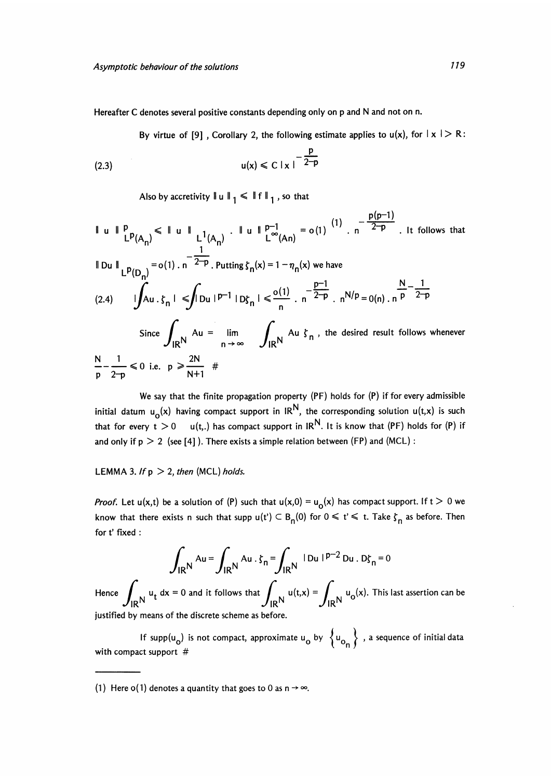Hereafter C denotes several positive constants depending only on p and N and not on n.

By virtue of [9], Corollary 2, the following estimate applies to  $u(x)$ , for  $|x| > R$ :

(2.3) 
$$
u(x) \le C |x|^{-\frac{p}{2-p}}
$$

Also by accretivity  $\|u\|_1 \le \|f\|_1$ , so that

$$
\|\mathbf{u}\|_{L^{p}(A_{n})}^{p} \leq \|\mathbf{u}\|_{L^{1}(A_{n})}. \|\mathbf{u}\|_{L^{\infty}(An)}^{p-1} = o(1) \cdot n^{-\frac{p(p-1)}{2-p}}. \text{ It follows that}
$$
\n
$$
\|\mathbf{D}\mathbf{u}\|_{L^{p}(D_{n})} = o(1) \cdot n^{-\frac{1}{2-p}}. \text{ Putting } \zeta_{n}(x) = 1 - \eta_{n}(x) \text{ we have}
$$
\n
$$
(2.4) \qquad \iint_{A} \mathbf{u} \cdot \zeta_{n} \cdot \int_{\mathbb{R}} |\mathbf{D}\mathbf{u}|^{p-1} |\mathbf{D}\zeta_{n}| \leq \frac{o(1)}{n} \cdot n^{-\frac{p-1}{2-p}}. \ n^{N/p} = o(n) \cdot n^{\frac{N}{p} - \frac{1}{2-p}}
$$
\n
$$
\text{Since } \int_{\mathbb{R}^{N}} \mathbf{A}\mathbf{u} = \lim_{n \to \infty} \int_{\mathbb{R}^{N}} \mathbf{A}\mathbf{u} \cdot \zeta_{n}, \text{ the desired result follows whenever}
$$
\n
$$
\frac{N}{p} - \frac{1}{2-p} \leq 0 \text{ i.e. } p \geq \frac{2N}{N+1} \neq 0
$$

We say that the finite propagation property (PF) holds for (P) if for every admissible initial datum  $u_0(x)$  having compact support in IR<sup>N</sup>, the corresponding solution u(t,x) is such that for every  $t > 0$  u(t,.) has compact support in IR<sup>N</sup>. It is know that (PF) holds for (P) if and only if  $p > 2$  (see [4]). There exists a simple relation between (FP) and (MCL) :

LEMMA 3. If  $p > 2$ , then (MCL) holds.

*Proof.* Let  $u(x,t)$  be a solution of (P) such that  $u(x,0) = u_0(x)$  has compact support. If  $t > 0$  we know that there exists n such that supp  $u(t') \subset B_{n}(0)$  for  $0 \leq t' \leq t$ . Take  $\zeta_{n}$  as before. Then for t' fixed :

$$
\int_{\mathsf{IR}^N} \mathsf{A}\mathsf{u} = \int_{\mathsf{IR}^N} \mathsf{A}\mathsf{u} \cdot \zeta_n = \int_{\mathsf{IR}^N} |\mathsf{D}\mathsf{u}| |^{p-2} \mathsf{D}\mathsf{u} \cdot \mathsf{D}\zeta_n = 0
$$
  
Hence 
$$
\int_{\mathsf{IR}^N} \mathsf{u}_t \, \mathrm{d}x = 0
$$
 and it follows that 
$$
\int_{\mathsf{IR}^N} \mathsf{u}(t,x) = \int_{\mathsf{IR}^N} \mathsf{u}_0(x)
$$
. This last assertion can be justified by means of the discrete scheme as before.

with compact support  $#$ If supp( $u_0$ ) is not compact, approximate  $u_0$  by  $\{u_0_n\}$ , a sequence of initial data

(1) Here o(1) denotes a quantity that goes to 0 as  $n \rightarrow \infty$ .

 $\sim$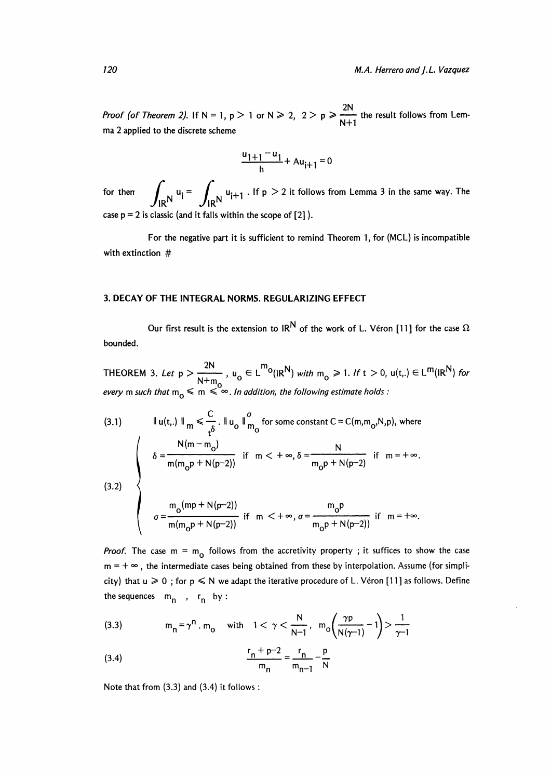*Proof (of Theorem 2)*. If N = 1, p > 1 or N > 2, 2 > p >  $\frac{2N}{N+1}$  the result follows from Lemma 2 applied to the discrete scheme

$$
\frac{u_{1+1} - u_1}{h} + Au_{i+1} = 0
$$

for then  $\int_{\text{IPN}} u_i = \int_{\text{IPN}} u_{i+1}$ . If  $p > 2$  it follows from Lemma 3 in the same way. The case  $p = 2$  is classic (and it falls within the scope of  $[2]$ ).

For the negative part it is sufficient to remind Theorem 1, for (MCL) is incompatible with extinction #

#### 3. DECAY OF THE INTEGRAL NORMS. REGULARIZING EFFECT

Our first result is the extension to IR<sup>N</sup> of the work of L. Véron [11] for the case  $\Omega$ bounded.

THEOREM 3. Let  $p > \frac{2N}{N+m_0}$ ,  $u_0 \in L^{m_0}(IR^N)$  with  $m_0 \ge 1$ . If  $t > 0$ ,  $u(t,.) \in L^{m}(IR^N)$  for every m such that  $m_0 \le m \le \infty$ . In addition, the following estimate holds :

(3.1) 
$$
\|u(t,.)\|_{m} \leq \frac{C}{t^{\delta}}. \quad \|u_{0}\|_{m_{0}}^{\sigma} \text{ for some constant } C = C(m, m_{0}, N, p), \text{ where}
$$
\n
$$
\delta = \frac{N(m-m_{0})}{m(m_{0}p + N(p-2))} \text{ if } m < +\infty, \delta = \frac{N}{m_{0}p + N(p-2)} \text{ if } m = +\infty.
$$
\n(3.2) 
$$
\sigma = \frac{m_{0}(mp + N(p-2))}{m(m_{0}p + N(p-2))} \text{ if } m < +\infty, \sigma = \frac{m_{0}p}{m_{0}p + N(p-2))} \text{ if } m = +\infty.
$$

*Proof.* The case  $m = m_0$  follows from the accretivity property ; it suffices to show the case  $m = +\infty$ , the intermediate cases being obtained from these by interpolation. Assume (for simplicity) that  $u \ge 0$ ; for  $p \le N$  we adapt the iterative procedure of L. Véron [11] as follows. Define the sequences  $m_n$ ,  $r_n$  by :

(3.3) 
$$
m_n = \gamma^n \cdot m_0
$$
 with  $1 < \gamma < \frac{N}{N-1}$ ,  $m_0 \left( \frac{\gamma p}{N(\gamma - 1)} - 1 \right) > \frac{1}{\gamma - 1}$ 

(3.4) 
$$
\frac{r_n + p - 2}{m_n} = \frac{r_n}{m_{n-1}} - \frac{p}{N}
$$

Note that from (3.3) and (3.4) it follows :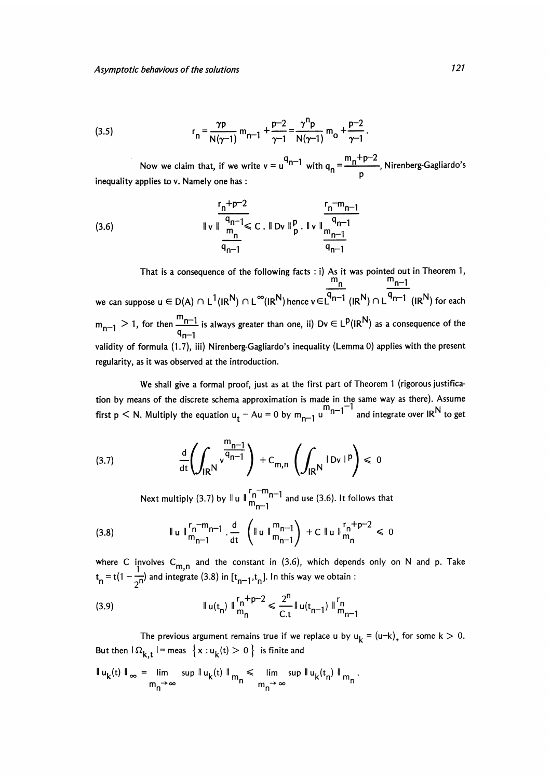(3.5) 
$$
r_n = \frac{\gamma p}{N(\gamma - 1)} m_{n-1} + \frac{p-2}{\gamma - 1} = \frac{\gamma^{n} p}{N(\gamma - 1)} m_0 + \frac{p-2}{\gamma - 1}
$$

Now we claim that, if we write  $v = u^{4n-1}$  with  $q_n = -1$  $-\frac{p-2}{\gamma-1}$ .<br>  $\frac{m_n+p-2}{p}$ , Nirenberg-Gagliardo's inequality applies to  $v$ . Namely one has:

(3.6) 
$$
\|\mathbf{v}\|_{\mathbf{m}}^{\frac{r_{n}+p-2}{q_{n-1}}} \leq C. \|\mathbf{D}\mathbf{v}\|_{p}^{p}.\|\mathbf{v}\|_{\mathbf{m}_{n-1}}^{\frac{r_{n}-m_{n-1}}{q_{n-1}}}
$$

That is a consequence of the following facts : i) As it was pointed out in Theorem 1, <u>'''n '''n−1</u> we can suppose  $u\in D(A)\cap L^1(I\mathsf{R}^\mathsf{N})\cap L^\infty(I\mathsf{R}^\mathsf{N})$  hence  $v\!\in\!\mathsf{L}^\mathsf{N}{}^{n-1}$   $(I\mathsf{R}^\mathsf{N})\cap L^{\mathsf{N}{}n-1}$   $(I\mathsf{R}^\mathsf{N})$  for each  $> 1$ , for then  $\frac{m-1}{n}$  is always greater than one, ii) Dv  $\in L^p(\mathbb{R}^N)$  as a consequence of the  $\mathsf{q}_{\mathsf{n-1}}$ validity of formula (1.7), iii) Nirenberg-Gagliardo's inequality (Lemma 0) applies with the present regularity, as it was observed at the introduction.

We shall give a formal proof, just as at the first part of Theorem 1 (rigorous justification by means of the discrete schema approximation is made in the same way as there). Assume<br>first p < N. Multiply the equation  $u_t - Au = 0$  by  $m_{n-1}u^{-1}$  and integrate over IR<sup>N</sup> to get

(3.7) 
$$
\frac{d}{dt} \left( \int_{\mathsf{IR}^{\mathsf{N}}} \mathsf{v}^{\frac{\mathsf{m}_{n-1}}{\mathsf{q}_{n-1}}} \right) + C_{\mathsf{m},\mathsf{n}} \left( \int_{\mathsf{IR}^{\mathsf{N}}} |\mathsf{D}\mathsf{v}|^{\mathsf{p}} \right) \leq 0
$$

Next multiply (3.7) by  $\parallel u \parallel_{m_{n-1}}^{r_n-m_{n-1}}$  and use (3.6). It follows that

(3.8) 
$$
\|u\|_{m_{n-1}}^{r_n-m_{n-1}} \cdot \frac{d}{dt} \left( \|u\|_{m_{n-1}}^{m_{n-1}} \right) + C \|u\|_{m_n}^{r_n+p-2} \leq 0
$$

where C involves  $\mathsf{C}_{\mathsf{m},\mathsf{n}}$  and the constant in (3.6), which depends only on N and p. Take  $t_n = t(1 - \frac{1}{2^n})$  and integrate (3.8) in  $[t_{n-1}, t_n]$ . In this way we obtain :

(3.9) 
$$
\|u(t_{n})\|_{m_{n}}^{r_{n}+p-2} \leq \frac{2^{n}}{C.t} \|u(t_{n-1})\|_{m_{n-1}}^{r_{n}}
$$

The previous argument remains true if we replace u by  $u_k = (u-k)_+$  for some  $k > 0$ . But then  $\Omega_{k,t}$  = meas  $\{x: u_k(t) > 0\}$  is finite and

$$
\|u_k(t)\|_{\infty} = \lim_{m_n \to \infty} \sup \|u_k(t)\|_{m_n} \leq \lim_{m_n \to \infty} \sup \|u_k(t_n)\|_{m_n}.
$$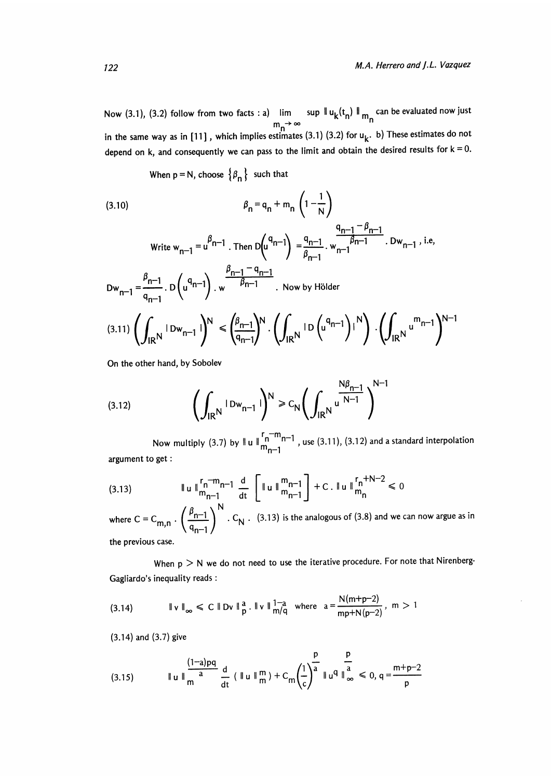Now (3.1), (3.2) follow from two facts : a)  $\lim_{m \to \infty} \sup \|u_k(t_n)\|_{m_n}$  can be evaluated now just in the same way as in [11] , which implies estimates (3.1) (3.2) for  $\mathsf{u}_{\mathsf{k}}.$  b) These estimates do not depend on k, and consequently we can pass to the limit and obtain the desired results for  $k = 0$ .

When  $p = N$ , choose  $\{\beta_n\}$  such that

$$
\beta_{n} = q_{n} + m_{n} \left( 1 - \frac{1}{N} \right)
$$

Write 
$$
w_{n-1} = u^{\beta_{n-1}}
$$
. Then  $D(u^{\alpha_{n-1}}) = \frac{q_{n-1}}{\beta_{n-1}}$ .  $w_{n-1} = \frac{\beta_{n-1}}{q_{n-1}}$ .  $Dw_{n-1}$ , i.e,  
\n $Dw_{n-1} = \frac{\beta_{n-1}}{q_{n-1}}$ .  $D(u^{\alpha_{n-1}})$ .  $w \frac{\beta_{n-1} - \alpha_{n-1}}{\beta_{n-1}}$ . Now by Hölder

$$
(3.11)\left(\int_{\mathsf{IR}^{\mathsf{N}}}\mathsf{1}_{\mathsf{D}\mathsf{w}_{n-1}}\mathsf{1}\right)^{\mathsf{N}} < \left(\int_{\mathsf{IR}^{\mathsf{N}}}\mathsf{1}_{\mathsf{D}}\left(\mathsf{u}^{\mathsf{Q}_{n-1}}\right)\mathsf{1}^{\mathsf{N}}\right)\cdot\left(\int_{\mathsf{IR}^{\mathsf{N}}}\mathsf{u}^{\mathsf{m}_{n-1}}\right)^{\mathsf{N}-1}
$$

On the other hand, by Sobolev

(3.12) 
$$
\left(\int_{\mathsf{IR}^{\mathsf{N}}}\mathsf{1}_{\mathsf{D}w_{n-1}}\mathsf{1}\right)^{\mathsf{N}} \geq C_{\mathsf{N}}\left(\int_{\mathsf{IR}^{\mathsf{N}}}\mathsf{u} \xrightarrow{\mathsf{N}\beta_{n-1}}\right)^{\mathsf{N}-1}
$$

Now multiply (3.7) by  $\|u\|_{m-1}^{r-n-m-1}$ , use (3.11), (3.12) and a standard interpolation argument to get :

(3.13) 
$$
\|u\|_{m_{n-1}}^{r_n-m_{n-1}} \frac{d}{dt} \left[ \|u\|_{m_{n-1}}^{m_{n-1}} \right] + C \cdot \|u\|_{m_n}^{r_n+N-2} \leq 0
$$

where  $C = C_{m,n} \cdot \left(\frac{\beta_{n-1}}{q_{n-1}}\right)^{16}$ .  $C_N$ . (3.13) is the analogous of (3.8) and we can now argue as in the previous case.

When  $p > N$  we do not need to use the iterative procedure. For note that Nirenberg-Gagliardo's inequality reads :

(3.14) and (3.7) give

(3.15) 
$$
\|u\|_{m}^{\frac{(1-a)pq}{a}} \frac{d}{dt} (\|u\|_{m}^{m}) + C_{m} \left(\frac{1}{c}\right)^{\frac{p}{a}} \|u^{q}\|_{\infty}^{\frac{p}{a}} \leq 0, q = \frac{m+p-2}{p}
$$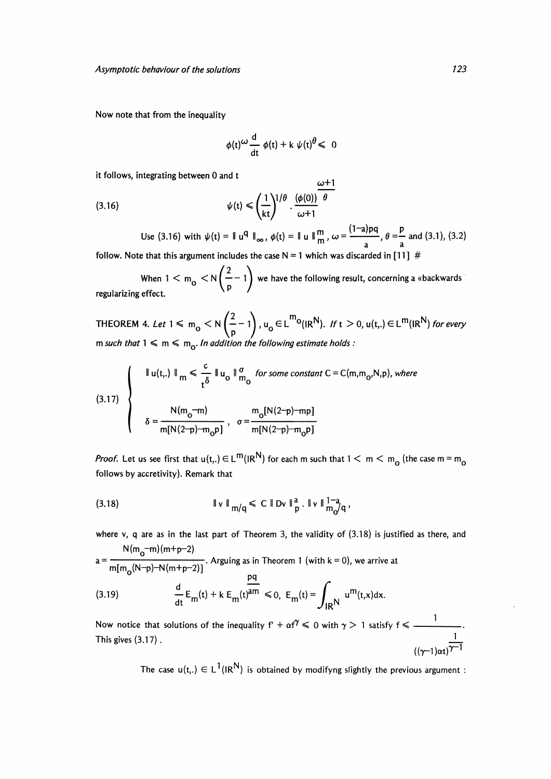Now note that from the inequality

$$
\phi(t) \frac{d}{dt} \phi(t) + k \psi(t) \theta \leq 0
$$

it follows, integrating between 0 and t

(3.16) 
$$
\psi(t) \leqslant \left(\frac{1}{kt}\right)^{1/\theta} \cdot \frac{(\phi(0))}{\omega + 1}
$$

Use (3.16) with  $\psi(t) = ||u^q||_{\infty}$ ,  $\phi(t) = ||u||_{m}^{m}$ ,  $\omega = \frac{(1-a)pq}{r}$ ,  $\theta = \frac{p}{r}$  and (3.1), (3.2) follow. Note that this argument includes the case  $N = 1$  which was discarded in [11] #

 $\begin{pmatrix} 2 & \sqrt{2} \\ 2 & 1 \end{pmatrix}$ When  $1 < m_0 < N \left( \frac{m_0}{n} - 1 \right)$  we have the following result, concerning a «backwards ' regularizing effect.

THEOREM 4. Let  $1 \le m_o < N\left(\frac{2}{p}-1\right)$ ,  $u_o \in L^{m_0}(IR^N)$ . If  $t > 0$ ,  $u(t,.) \in L^m(IR^N)$  for every m such that  $1 \le m \le m_0$ . In addition the following estimate holds :

(3.17) 
$$
\begin{cases} \n\text{I } \mathsf{u}(t,.) \parallel_{m} \leq \frac{c}{t^{\delta}} \parallel \mathsf{u}_{0} \parallel_{m_{0}}^{g} \text{ for some constant } C = C(m, m_{0}, N, p), \text{ where } \\ \n\delta = \frac{N(m_{0} - m)}{m[N(2-p) - m_{0}p]}, \quad \sigma = \frac{m_{0}[N(2-p) - mp]}{m[N(2-p) - m_{0}p]} \n\end{cases}
$$

*Proof*. Let us see first that  $u(t,.)\in L^m(I\mathsf{R}^{\mathsf{N}})$  for each m such that  $1< m< m_{_{\mathsf{O}}}$  (the case m =  $\mathsf{m}_{_{\mathsf{O}}}$ follows by accretivity). Remark that

(3.18) 
$$
\|v\|_{m/q} \leq C \|Dv\|_p^a. \|v\|_{m_0/q}^{1-a},
$$

where v, q are as in the last part of Theorem 3, the validity of  $(3.18)$  is justified as there, and  $N(m_{2}-m)(m+p-2)$ 

$$
a = \frac{6}{m[m_0(N-p)-N(m+p-2)]}
$$
. Arguing as in Theorem 1 (with k = 0), we arrive at  
\n
$$
\frac{dq}{dt}E_m(t) + k E_m(t)^{am} \le 0, E_m(t) = \int_{\text{IR}} u^m(t,x)dx.
$$
\nNow notice that solutions of the inequality  $f' + \alpha f' \le 0$  with  $\gamma > 1$  satisfy  $f \le \frac{1}{\gamma-1}$ .  
\nThis gives (3.17).

 $\frac{1}{(\gamma-1)\alpha t}$ 

The case  $u(t,.) \in L^1(R^N)$  is obtained by modifyng slightly the previous argument :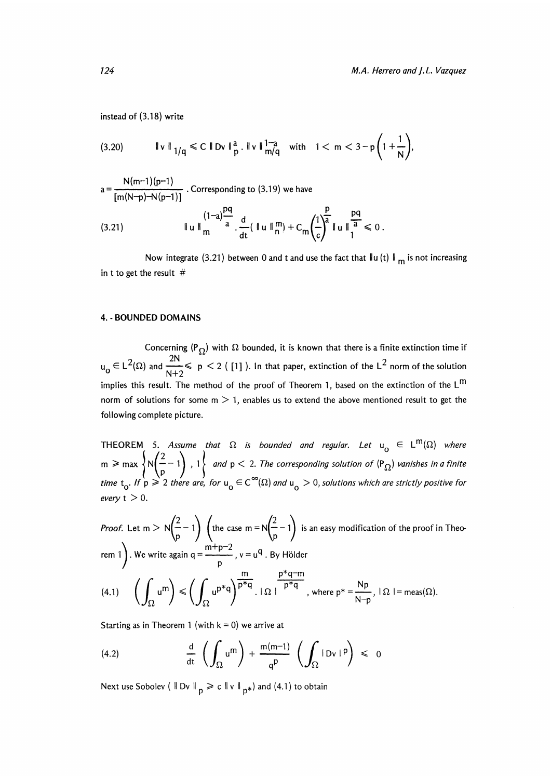instead of (3.18) write

$$
a = \frac{N(m-1)(p-1)}{[m(N-p)-N(p-1)]}
$$
. Corresponding to (3.19) we have  
(3.21) 
$$
\|u\|_{m}^{(1-a)\frac{pq}{a}} \cdot \frac{d}{dt} (\|u\|_{n}^{m}) + C_{m} \left(\frac{1}{c}\right)^{\frac{p}{a}} \|u\|_{1}^{\frac{pq}{a}} \le 0
$$

Now integrate (3.21) between 0 and t and use the fact that  $\|u(t)\|_{m}$  is not increasing in t to get the result  $#$ 

#### 4. - BOUNDED DOMAINS

Concerning  $(P_{\Omega})$  with  $\Omega$  bounded, it is known that there is a finite extinction time if  $u_0 \in L^2(\Omega)$  and  $\frac{2N}{N+2} \le p \le 2$  ([1]). In that paper, extinction of the L<sup>2</sup> norm of the solution implies this result. The method of the proof of Theorem 1, based on the extinction of the  $L^m$ norm of solutions for some  $m > 1$ , enables us to extend the above mentioned result to get the following complete picture.

THEOREM 5. Assume that  $\Omega$  is bounded and regular. Let  $u^+_{\mathbf{0}} \in \mathsf{L}^{\mathsf{m}}(\Omega)$  where  $m \ge \max \left\{ N \left( \frac{2}{p} - 1 \right)$ ,  $1 \right\}$  and  $p < 2$ . The corresponding solution of  $(P_{\Omega})$  vanishes in a finite time  $\rm t_o.$  If  $\rm \dot{\rm p}\geqslant 2$  there are, for  $\rm u_o\in C^\infty(\Omega)$  and  $\rm u_o>0,$  solutions which are strictly positive for every  $t > 0$ .

*Proof.* Let m  $> N(-1)$  (the case m =  $N(-1)$  is an easy modification of the proof in Theo-*Proof.* Let m >  $N\left(\frac{2}{p} - 1\right)$  (the case m =  $N\left(\frac{2}{p} - 1\right)$  is<br>rem 1). We write again q =  $\frac{m+p-2}{p}$ , v = u<sup>q</sup>. By Hölder

(4.1) 
$$
\left(\int_{\Omega} u^{m}\right) \leqslant \left(\int_{\Omega} u^{p*q}\right)^{\frac{1}{p*q}} \cdot \mid \Omega \mid \frac{1}{p^*q} \mid \text{where } p^* = \frac{Np}{N-p}, \mid \Omega \mid = \text{meas}(\Omega).
$$

Starting as in Theorem 1 (with  $k = 0$ ) we arrive at

(4.2) 
$$
\frac{d}{dt} \left( \int_{\Omega} u^{m} \right) + \frac{m(m-1)}{q^{p}} \left( \int_{\Omega} |Dv|^{p} \right) \leq 0
$$

Next use Sobolev ( $\parallel$  Dv  $\parallel_p \geq c \parallel v \parallel_{p*}$ ) and (4.1) to obtain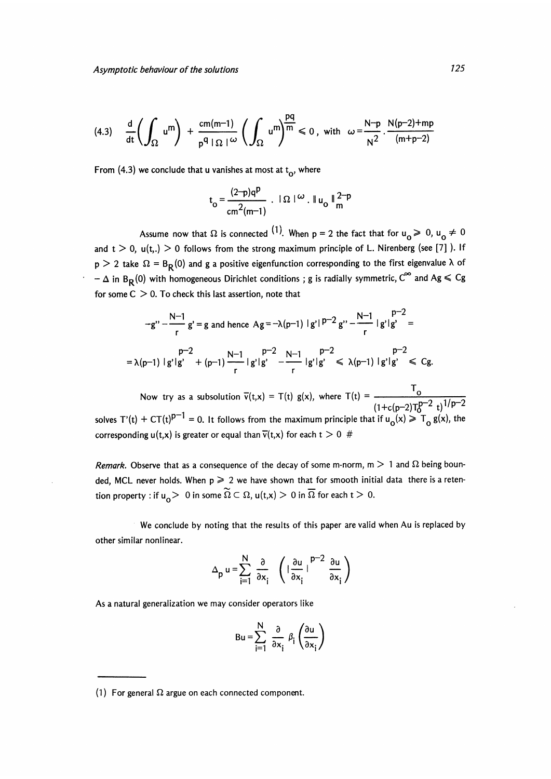$$
(4.3) \quad \frac{d}{dt}\left(\int_{\Omega} u^{m}\right) + \frac{cm(m-1)}{p^{q} \mid \Omega \mid} \left(\int_{\Omega} u^{m}\right)^{\frac{pq}{m}} \leq 0 \text{, with } \omega = \frac{N-p}{N^{2}} \cdot \frac{N(p-2)+mp}{(m+p-2)}
$$

From (4.3) we conclude that u vanishes at most at  $t_0$ , where

$$
t_o = \frac{(2-p)q^p}{cm^2(m-1)}
$$
.  $|\Omega|^{(\omega)}$ .  $||u_o||^{2-p}$ 

Assume now that  $\Omega$  is connected <sup>(1)</sup>. When p = 2 the fact that for  $u_0 \ge 0$ ,  $u_0 \ne 0$ and  $t > 0$ ,  $u(t_n) > 0$  follows from the strong maximum principle of L. Nirenberg (see [7]). If  $p > 2$  take  $\Omega = B_R(0)$  and g a positive eigenfunction corresponding to the first eigenvalue  $\lambda$  of  $-\Delta$  in B<sub>R</sub>(0) with homogeneous Dirichlet conditions ; g is radially symmetric, C<sup>oo</sup> and Ag  $\leq$  Cg for some  $C > 0$ . To check this last assertion, note that

$$
-g'' - \frac{N-1}{r}g' = g \text{ and hence } Ag = -\lambda(p-1) |g'|^{p-2}g'' - \frac{N-1}{r} |g'|g' =
$$
  
=  $\lambda(p-1) |g'|g' + (p-1) \frac{N-1}{r} |g'|g' - \frac{p-2}{r} |g'|g' \le \lambda(p-1) |g'|g' \le Cg.$ 

Now try as a subsolution  $\overline{v}(t,x) = T(t) g(x)$ , where  $T(t) =$ solves T'(t) + CT(t)<sup>p-1</sup> = 0. It follows from the maximum principle that if  $u_o(x) \geq T_o$  g(x), the corresponding  $u(t,x)$  is greater or equal than  $\overline{v}(t,x)$  for each  $t > 0$  #

Remark. Observe that as a consequence of the decay of some m-norm,  $m > 1$  and  $\Omega$  being bounded, MCL never holds. When  $p \ge 2$  we have shown that for smooth initial data there is a retention property : if  $u_0 > 0$  in some  $\widetilde{\Omega} \subset \Omega$ ,  $u(t,x) > 0$  in  $\overline{\Omega}$  for each  $t > 0$ .

We conclude by noting that the results of this paper are valid when Au is replaced by other similar nonlinear.

$$
\Delta_{\mathbf{p}} \mathbf{u} = \sum_{i=1}^{N} \frac{\partial}{\partial x_i} \left( \left| \frac{\partial \mathbf{u}}{\partial x_i} \right|^{p-2} \frac{\partial \mathbf{u}}{\partial x_i} \right)
$$

As a natural generalization we may consider operators like

$$
Bu = \sum_{i=1}^{N} \frac{\partial}{\partial x_i} \beta_i \left( \frac{\partial u}{\partial x_i} \right)
$$

<sup>(1)</sup> For general  $\Omega$  argue on each connected component.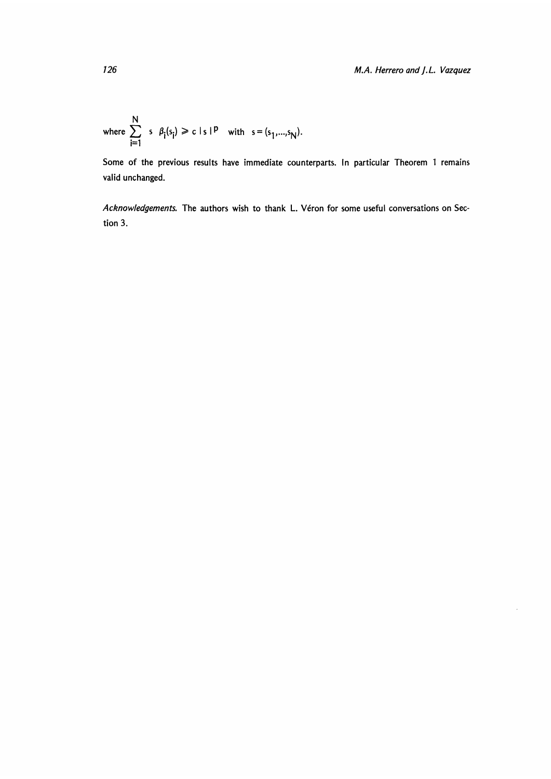where 
$$
\sum_{i=1}^{N} s \beta_i(s_i) \ge c |s|^{p}
$$
 with  $s = (s_1,...,s_N)$ .

Some of the previous results have immediate counterparts. In particular Theorem 1 remains valid unchanged.

Acknowledgements. The authors wish to thank L. Véron for some useful conversations on Section 3.